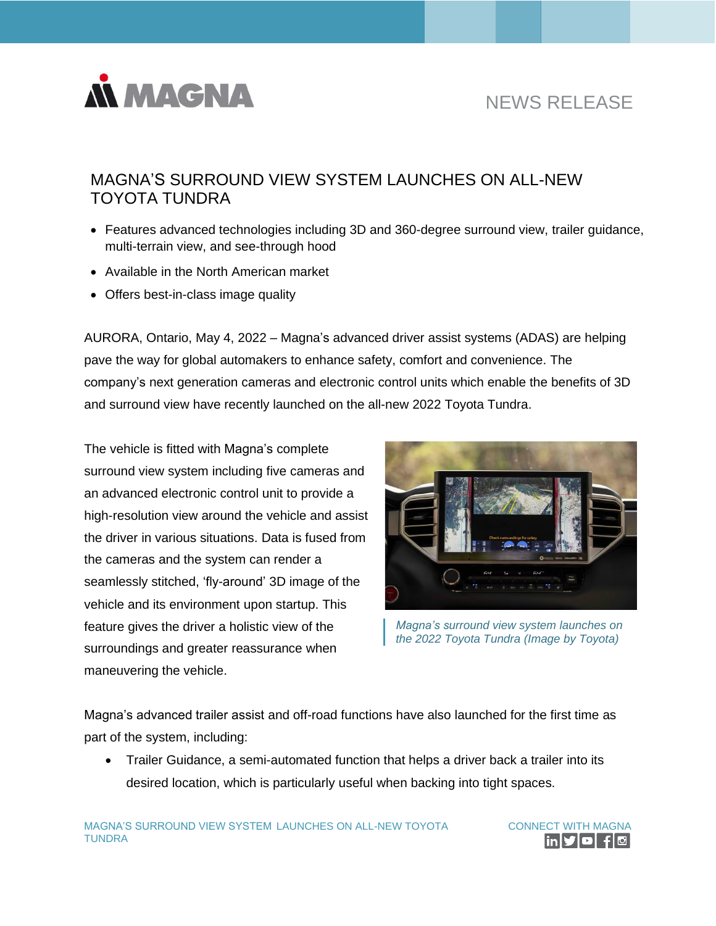

# NEWS RELEASE

# MAGNA'S SURROUND VIEW SYSTEM LAUNCHES ON ALL-NEW TOYOTA TUNDRA

- Features advanced technologies including 3D and 360-degree surround view, trailer guidance, multi-terrain view, and see-through hood
- Available in the North American market
- Offers best-in-class image quality

AURORA, Ontario, May 4, 2022 – Magna's advanced driver assist systems (ADAS) are helping pave the way for global automakers to enhance safety, comfort and convenience. The company's next generation cameras and electronic control units which enable the benefits of 3D and surround view have recently launched on the all-new 2022 Toyota Tundra.

The vehicle is fitted with Magna's complete surround view system including five cameras and an advanced electronic control unit to provide a high-resolution view around the vehicle and assist the driver in various situations. Data is fused from the cameras and the system can render a seamlessly stitched, 'fly-around' 3D image of the vehicle and its environment upon startup. This feature gives the driver a holistic view of the surroundings and greater reassurance when maneuvering the vehicle.



*Magna's surround view system launches on the 2022 Toyota Tundra (Image by Toyota)*

Magna's advanced trailer assist and off-road functions have also launched for the first time as part of the system, including:

• Trailer Guidance, a semi-automated function that helps a driver back a trailer into its desired location, which is particularly useful when backing into tight spaces.

MAGNA'S SURROUND VIEW SYSTEM LAUNCHES ON ALL-NEW TOYOTA TUNDRA

CONNECT WITH MAGNA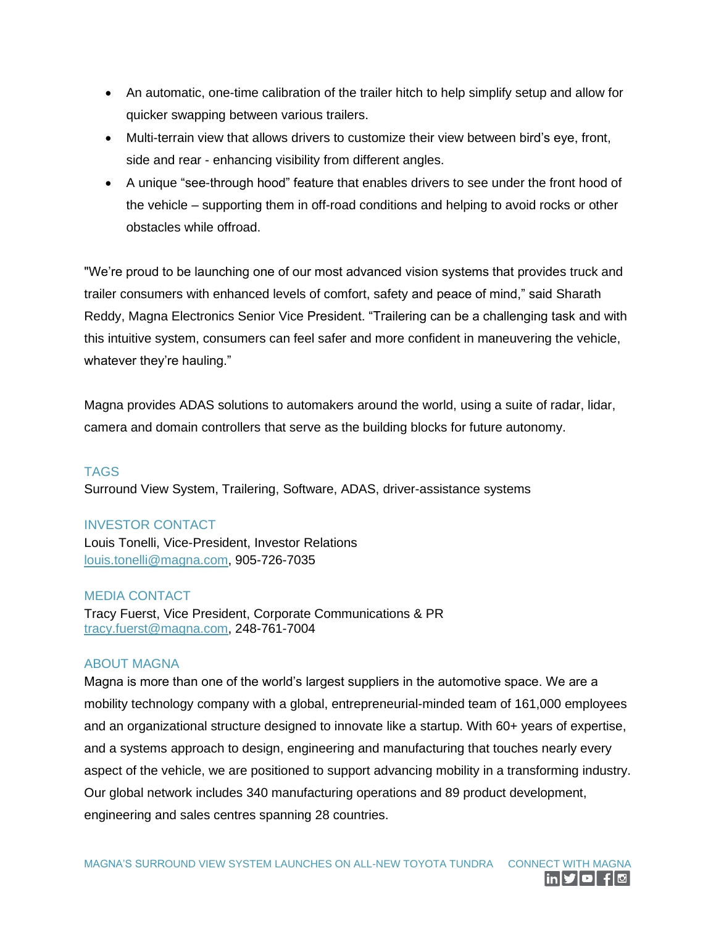- An automatic, one-time calibration of the trailer hitch to help simplify setup and allow for quicker swapping between various trailers.
- Multi-terrain view that allows drivers to customize their view between bird's eye, front, side and rear - enhancing visibility from different angles.
- A unique "see-through hood" feature that enables drivers to see under the front hood of the vehicle – supporting them in off-road conditions and helping to avoid rocks or other obstacles while offroad.

"We're proud to be launching one of our most advanced vision systems that provides truck and trailer consumers with enhanced levels of comfort, safety and peace of mind," said Sharath Reddy, Magna Electronics Senior Vice President. "Trailering can be a challenging task and with this intuitive system, consumers can feel safer and more confident in maneuvering the vehicle, whatever they're hauling."

Magna provides ADAS solutions to automakers around the world, using a suite of radar, lidar, camera and domain controllers that serve as the building blocks for future autonomy.

## TAGS

Surround View System, Trailering, Software, ADAS, driver-assistance systems

#### INVESTOR CONTACT

Louis Tonelli, Vice-President, Investor Relations [louis.tonelli@magna.com,](mailto:louis.tonelli@magna.com) 905-726-7035

#### MEDIA CONTACT

Tracy Fuerst, Vice President, Corporate Communications & PR [tracy.fuerst@magna.com,](mailto:tracy.fuerst@magna.com) 248-761-7004

## ABOUT MAGNA

Magna is more than one of the world's largest suppliers in the automotive space. We are a mobility technology company with a global, entrepreneurial-minded team of 161,000 employees and an organizational structure designed to innovate like a startup. With 60+ years of expertise, and a systems approach to design, engineering and manufacturing that touches nearly every aspect of the vehicle, we are positioned to support advancing mobility in a transforming industry. Our global network includes 340 manufacturing operations and 89 product development, engineering and sales centres spanning 28 countries.